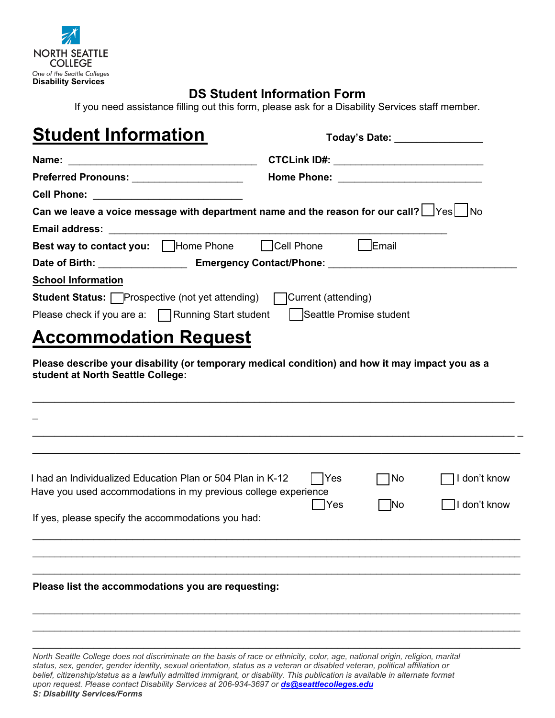

# **DS Student Information Form**

If you need assistance filling out this form, please ask for a Disability Services staff member.

| <b>Student Information</b>                                                 | Today's Date: ________________                                                                      |  |
|----------------------------------------------------------------------------|-----------------------------------------------------------------------------------------------------|--|
|                                                                            | CTCLink ID#: _____________________________                                                          |  |
| Preferred Pronouns: ____________________                                   |                                                                                                     |  |
| Cell Phone: <u>______________________________</u>                          |                                                                                                     |  |
|                                                                            | Can we leave a voice message with department name and the reason for our call? $\Box$ Yes $\Box$ No |  |
|                                                                            |                                                                                                     |  |
| <b>Best way to contact you:</b> □Home Phone □Cell Phone □Email             |                                                                                                     |  |
|                                                                            |                                                                                                     |  |
| <b>School Information</b>                                                  |                                                                                                     |  |
| <b>Student Status:</b> Prospective (not yet attending) Current (attending) |                                                                                                     |  |
| Please check if you are a: Running Start student Seattle Promise student   |                                                                                                     |  |
| <b>Accommodation Request</b>                                               |                                                                                                     |  |
| student at North Seattle College:                                          | Please describe your disability (or temporary medical condition) and how it may impact you as a     |  |

| I had an Individualized Education Plan or 504 Plan in K-12<br>Yes<br>Have you used accommodations in my previous college experience<br>Yes]<br>If yes, please specify the accommodations you had: | No<br><b>No</b> | don't know<br>don't know |
|---------------------------------------------------------------------------------------------------------------------------------------------------------------------------------------------------|-----------------|--------------------------|
| Please list the accommodations you are requesting:                                                                                                                                                |                 |                          |

 $\_$  , and the set of the set of the set of the set of the set of the set of the set of the set of the set of the set of the set of the set of the set of the set of the set of the set of the set of the set of the set of th  $\_$  ,  $\_$  ,  $\_$  ,  $\_$  ,  $\_$  ,  $\_$  ,  $\_$  ,  $\_$  ,  $\_$  ,  $\_$  ,  $\_$  ,  $\_$  ,  $\_$  ,  $\_$  ,  $\_$  ,  $\_$  ,  $\_$  ,  $\_$  ,  $\_$  ,  $\_$  ,  $\_$  ,  $\_$  ,  $\_$  ,  $\_$  ,  $\_$  ,  $\_$  ,  $\_$  ,  $\_$  ,  $\_$  ,  $\_$  ,  $\_$  ,  $\_$  ,  $\_$  ,  $\_$  ,  $\_$  ,  $\_$  ,  $\_$  ,

*North Seattle College does not discriminate on the basis of race or ethnicity, color, age, national origin, religion, marital status, sex, gender, gender identity, sexual orientation, status as a veteran or disabled veteran, political affiliation or belief, citizenship/status as a lawfully admitted immigrant, or disability. This publication is available in alternate format upon request. Please contact Disability Services at 206-934-3697 or [ds@seattlecolleges.edu](mailto:ds@seattlecolleges.edu) S: Disability Services/Forms*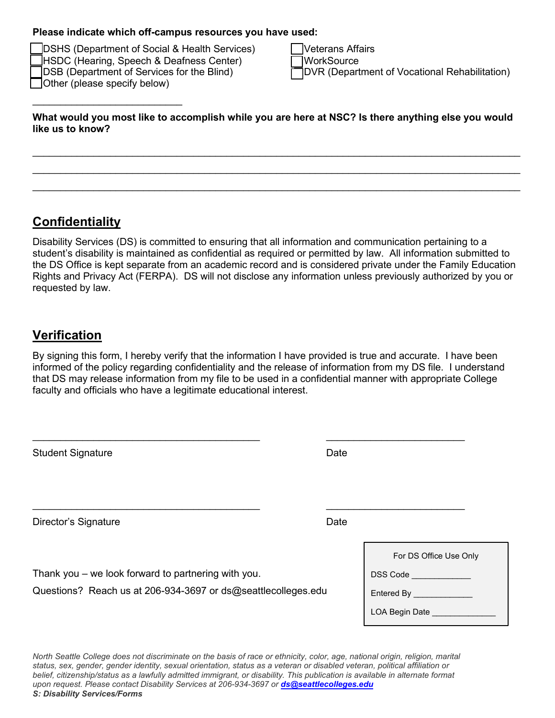#### **Please indicate which off-campus resources you have used:**

DSHS (Department of Social & Health Services) TVeterans Affairs HSDC (Hearing, Speech & Deafness Center) MorkSource Other (please specify below)

 $\overline{\phantom{a}}$  , where  $\overline{\phantom{a}}$  , where  $\overline{\phantom{a}}$  , where  $\overline{\phantom{a}}$ 

 $\Box$ DSB (Department of Services for the Blind)  $\Box$ DVR (Department of Vocational Rehabilitation)

**What would you most like to accomplish while you are here at NSC? Is there anything else you would like us to know?** 

 $\_$  , and the set of the set of the set of the set of the set of the set of the set of the set of the set of the set of the set of the set of the set of the set of the set of the set of the set of the set of the set of th  $\_$  ,  $\_$  ,  $\_$  ,  $\_$  ,  $\_$  ,  $\_$  ,  $\_$  ,  $\_$  ,  $\_$  ,  $\_$  ,  $\_$  ,  $\_$  ,  $\_$  ,  $\_$  ,  $\_$  ,  $\_$  ,  $\_$  ,  $\_$  ,  $\_$  ,  $\_$  ,  $\_$  ,  $\_$  ,  $\_$  ,  $\_$  ,  $\_$  ,  $\_$  ,  $\_$  ,  $\_$  ,  $\_$  ,  $\_$  ,  $\_$  ,  $\_$  ,  $\_$  ,  $\_$  ,  $\_$  ,  $\_$  ,  $\_$  , \_\_\_\_\_\_\_\_\_\_\_\_\_\_\_\_\_\_\_\_\_\_\_\_\_\_\_\_\_\_\_\_\_\_\_\_\_\_\_\_\_\_\_\_\_\_\_\_\_\_\_\_\_\_\_\_\_\_\_\_\_\_\_\_\_\_\_\_\_\_\_\_\_\_\_\_\_\_\_\_\_\_\_\_\_\_\_\_

# **Confidentiality**

Disability Services (DS) is committed to ensuring that all information and communication pertaining to a student's disability is maintained as confidential as required or permitted by law. All information submitted to the DS Office is kept separate from an academic record and is considered private under the Family Education Rights and Privacy Act (FERPA). DS will not disclose any information unless previously authorized by you or requested by law.

## **Verification**

By signing this form, I hereby verify that the information I have provided is true and accurate. I have been informed of the policy regarding confidentiality and the release of information from my DS file. I understand that DS may release information from my file to be used in a confidential manner with appropriate College faculty and officials who have a legitimate educational interest.

| <b>Student Signature</b>                                                                                             | Date                                                                              |
|----------------------------------------------------------------------------------------------------------------------|-----------------------------------------------------------------------------------|
| Director's Signature                                                                                                 | Date                                                                              |
| Thank you – we look forward to partnering with you.<br>Questions? Reach us at 206-934-3697 or ds@seattlecolleges.edu | For DS Office Use Only<br>DSS Code<br>Entered By ______________<br>LOA Begin Date |

*North Seattle College does not discriminate on the basis of race or ethnicity, color, age, national origin, religion, marital status, sex, gender, gender identity, sexual orientation, status as a veteran or disabled veteran, political affiliation or belief, citizenship/status as a lawfully admitted immigrant, or disability. This publication is available in alternate format upon request. Please contact Disability Services at 206-934-3697 or [ds@seattlecolleges.edu](mailto:ds@seattlecolleges.edu) S: Disability Services/Forms*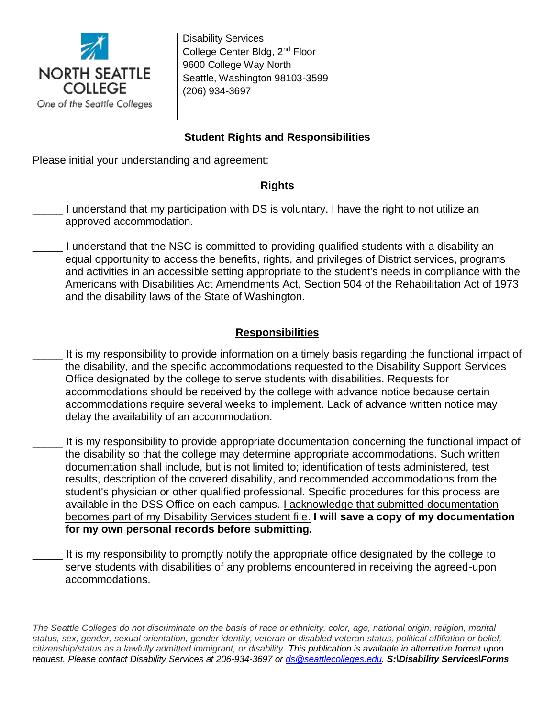

Disability Services College Center Bldg, 2<sup>nd</sup> Floor 9600 College Way North Seattle, Washington 98103-3599 (206) 934-3697

## **Student Rights and Responsibilities**

Please initial your understanding and agreement:

#### **Rights**

- I understand that my participation with DS is voluntary. I have the right to not utilize an approved accommodation.
- \_\_\_\_\_ I understand that the NSC is committed to providing qualified students with a disability an equal opportunity to access the benefits, rights, and privileges of District services, programs and activities in an accessible setting appropriate to the student's needs in compliance with the Americans with Disabilities Act Amendments Act, Section 504 of the Rehabilitation Act of 1973 and the disability laws of the State of Washington.

## **Responsibilities**

- It is my responsibility to provide information on a timely basis regarding the functional impact of the disability, and the specific accommodations requested to the Disability Support Services Office designated by the college to serve students with disabilities. Requests for accommodations should be received by the college with advance notice because certain accommodations require several weeks to implement. Lack of advance written notice may delay the availability of an accommodation.
- It is my responsibility to provide appropriate documentation concerning the functional impact of the disability so that the college may determine appropriate accommodations. Such written documentation shall include, but is not limited to; identification of tests administered, test results, description of the covered disability, and recommended accommodations from the student's physician or other qualified professional. Specific procedures for this process are available in the DSS Office on each campus. I acknowledge that submitted documentation becomes part of my Disability Services student file. **I will save a copy of my documentation for my own personal records before submitting.**
- It is my responsibility to promptly notify the appropriate office designated by the college to serve students with disabilities of any problems encountered in receiving the agreed-upon accommodations.

*The Seattle Colleges do not discriminate on the basis of race or ethnicity, color, age, national origin, religion, marital status, sex, gender, sexual orientation, gender identity, veteran or disabled veteran status, political affiliation or belief, citizenship/status as a lawfully admitted immigrant, or disability. This publication is available in alternative format upon request. Please contact Disability Services at 206-934-3697 or [ds@seattlecolleges.edu.](mailto:ds@seattlecolleges.edu) S:\Disability Services\Forms*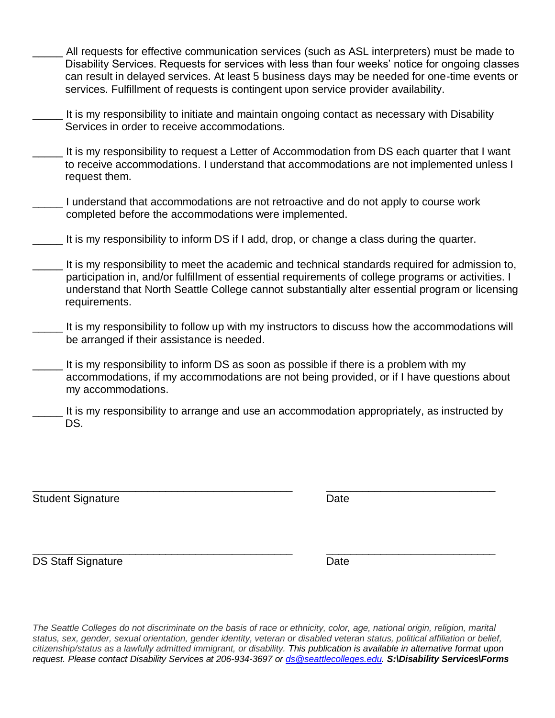- \_\_\_\_\_ All requests for effective communication services (such as ASL interpreters) must be made to Disability Services. Requests for services with less than four weeks' notice for ongoing classes can result in delayed services. At least 5 business days may be needed for one-time events or services. Fulfillment of requests is contingent upon service provider availability.
- It is my responsibility to initiate and maintain ongoing contact as necessary with Disability Services in order to receive accommodations.
- It is my responsibility to request a Letter of Accommodation from DS each quarter that I want to receive accommodations. I understand that accommodations are not implemented unless I request them.
- I understand that accommodations are not retroactive and do not apply to course work completed before the accommodations were implemented.
- \_\_\_\_\_ It is my responsibility to inform DS if I add, drop, or change a class during the quarter.
- It is my responsibility to meet the academic and technical standards required for admission to, participation in, and/or fulfillment of essential requirements of college programs or activities. I understand that North Seattle College cannot substantially alter essential program or licensing requirements.
- It is my responsibility to follow up with my instructors to discuss how the accommodations will be arranged if their assistance is needed.
- It is my responsibility to inform DS as soon as possible if there is a problem with my accommodations, if my accommodations are not being provided, or if I have questions about my accommodations.
- It is my responsibility to arrange and use an accommodation appropriately, as instructed by DS.

Student Signature Date

\_\_\_\_\_\_\_\_\_\_\_\_\_\_\_\_\_\_\_\_\_\_\_\_\_\_\_\_\_\_\_\_\_\_\_\_\_\_\_\_\_\_\_ \_\_\_\_\_\_\_\_\_\_\_\_\_\_\_\_\_\_\_\_\_\_\_\_\_\_\_\_

\_\_\_\_\_\_\_\_\_\_\_\_\_\_\_\_\_\_\_\_\_\_\_\_\_\_\_\_\_\_\_\_\_\_\_\_\_\_\_\_\_\_\_ \_\_\_\_\_\_\_\_\_\_\_\_\_\_\_\_\_\_\_\_\_\_\_\_\_\_\_\_ DS Staff Signature Date Date

*The Seattle Colleges do not discriminate on the basis of race or ethnicity, color, age, national origin, religion, marital status, sex, gender, sexual orientation, gender identity, veteran or disabled veteran status, political affiliation or belief, citizenship/status as a lawfully admitted immigrant, or disability. This publication is available in alternative format upon request. Please contact Disability Services at 206-934-3697 or [ds@seattlecolleges.edu.](mailto:ds@seattlecolleges.edu) S:\Disability Services\Forms*